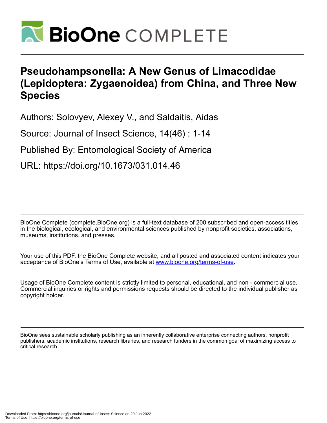

# **Pseudohampsonella: A New Genus of Limacodidae (Lepidoptera: Zygaenoidea) from China, and Three New Species**

Authors: Solovyev, Alexey V., and Saldaitis, Aidas

Source: Journal of Insect Science, 14(46) : 1-14

Published By: Entomological Society of America

URL: https://doi.org/10.1673/031.014.46

BioOne Complete (complete.BioOne.org) is a full-text database of 200 subscribed and open-access titles in the biological, ecological, and environmental sciences published by nonprofit societies, associations, museums, institutions, and presses.

Your use of this PDF, the BioOne Complete website, and all posted and associated content indicates your acceptance of BioOne's Terms of Use, available at www.bioone.org/terms-of-use.

Usage of BioOne Complete content is strictly limited to personal, educational, and non - commercial use. Commercial inquiries or rights and permissions requests should be directed to the individual publisher as copyright holder.

BioOne sees sustainable scholarly publishing as an inherently collaborative enterprise connecting authors, nonprofit publishers, academic institutions, research libraries, and research funders in the common goal of maximizing access to critical research.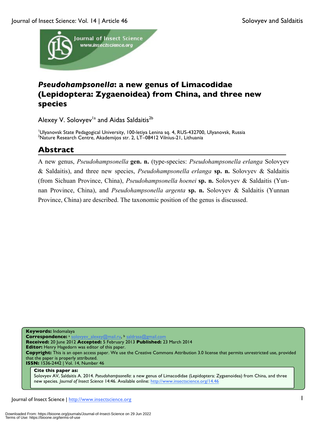

## *Pseudohampsonella***: a new genus of Limacodidae (Lepidoptera: Zygaenoidea) from China, and three new species**

Alexey V. Solovyev<sup>1a</sup> and Aidas Saldaitis<sup>2b</sup>

<sup>1</sup>Ulyanovsk State Pedagogical University, 100-letiya Lenina sq. 4, RUS-432700, Ulyanovsk, Russia<br><sup>2</sup>Nature Bessarsh Contre, Akademijos str. 2, LT, 09412 Vilnius 21, Lithuanis Nature Research Centre, Akademijos str. 2, LT–08412 Vilnius-21, Lithuania

## **Abstract**

A new genus, *Pseudohampsonella* **gen. n.** (type-species: *Pseudohampsonella erlanga* Solovyev & Saldaitis), and three new species, *Pseudohampsonella erlanga* **sp. n.** Solovyev & Saldaitis (from Sichuan Province, China), *Pseudohampsonella hoenei* **sp. n.** Solovyev & Saldaitis (Yunnan Province, China), and *Pseudohampsonella argenta* **sp. n.** Solovyev & Saldaitis (Yunnan Province, China) are described. The taxonomic position of the genus is discussed.

**Keywords:** Indomalaya **Correspondence:** a solovyev\_alexey@mail.ru, b saldrasa@gmail.com **Received:** 20 June 2012 **Accepted:** 5 February 2013 **Published:** 23 March 2014 **Editor:** Henry Hagedorn was editor of this paper. **Copyright:** This is an open access paper. We use the Creative Commons Attribution 3.0 license that permits unrestricted use, provided that the paper is properly attributed. **ISSN:** 1536-2442 | Vol. 14, Number 46 **Cite this paper as:** Solovyev AV, Saldaitis A. 2014. *Pseudohampsonella*: a new genus of Limacodidae (Lepidoptera: Zygaenoidea) from China, and three

new species. *Journal of Insect Science* 14:46. Available online: http://www.insectscience.org/14.46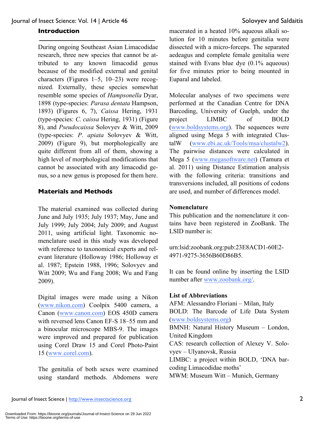#### **Introduction**

During ongoing Southeast Asian Limacodidae research, three new species that cannot be attributed to any known limacodid genus because of the modified external and genital characters (Figures 1–5, 10–23) were recognized. Externally, these species somewhat resemble some species of *Hampsonella* Dyar, 1898 (type-species: *Parasa dentata* Hampson, 1893) (Figures 6, 7), *Caissa* Hering, 1931 (type-species: *C. caissa* Hering, 1931) (Figure 8), and *Pseudocaissa* Solovyev & Witt, 2009 (type-species: *P*. *apiata* Solovyev & Witt, 2009) (Figure 9), but morphologically are quite different from all of them, showing a high level of morphological modifications that cannot be associated with any limacodid genus, so a new genus is proposed for them here.

## **Materials and Methods**

The material examined was collected during June and July 1935; July 1937; May, June and July 1999; July 2004; July 2009; and August 2011, using artificial light. Taxonomic nomenclature used in this study was developed with reference to taxonomical experts and relevant literature (Holloway 1986; Holloway et al. 1987; Epstein 1988, 1996; Solovyev and Witt 2009; Wu and Fang 2008; Wu and Fang 2009).

Digital images were made using a Nikon (www.nikon.com) Coolpix 5400 camera, a Canon (www.canon.com) EOS 450D camera with reversed lens Canon EF-S 18–55 mm and a binocular microscope MBS-9. The images were improved and prepared for publication using Corel Draw 15 and Corel Photo-Paint 15 (www.corel.com).

The genitalia of both sexes were examined using standard methods. Abdomens were

macerated in a heated 10% aqueous alkali solution for 10 minutes before genitalia were dissected with a micro-forceps. The separated aedeagus and complete female genitalia were stained with Evans blue dye (0.1% aqueous) for five minutes prior to being mounted in Euparal and labeled.

Molecular analyses of two specimens were performed at the Canadian Centre for DNA Barcoding, University of Guelph, under the project LIMBC of BOLD (www.boldsystems.org). The sequences were aligned using Mega 5 with integrated ClustalW (www.ebi.ac.uk/Tools/msa/clustalw2). The pairwise distances were calculated in Mega 5 (www.megasoftware.net) (Tamura et al. 2011) using Distance Estimation analysis with the following criteria: transitions and transversions included, all positions of codons are used, and number of differences model.

## **Nomenclature**

This publication and the nomenclature it contains have been registered in ZooBank. The LSID number is:

urn:lsid:zoobank.org:pub:23E8ACD1-60E2- 4971-9275-3656B60D86B5.

It can be found online by inserting the LSID number after www.zoobank.org/.

#### **List of Abbreviations**

AFM: Alessandro Floriani – Milan, Italy BOLD: The Barcode of Life Data System (www.boldsystems.org) BMNH: Natural History Museum – London, United Kingdom CAS: research collection of Alexey V. Solovyev – Ulyanovsk, Russia LIMBC: a project within BOLD, 'DNA barcoding Limacodidae moths' MWM: Museum Witt – Munich, Germany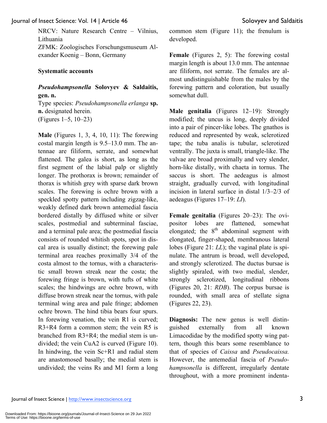NRCV: Nature Research Centre – Vilnius, Lithuania ZFMK: Zoologisches Forschungsmuseum Alexander Koenig – Bonn, Germany

## **Systematic accounts**

## *Pseudohampsonella* **Solovyev & Saldaitis, gen. n.**

Type species: *Pseudohampsonella erlanga* **sp. n.** designated herein. (Figures 1–5, 10–23)

**Male** (Figures 1, 3, 4, 10, 11): The forewing costal margin length is 9.5–13.0 mm. The antennae are filiform, serrate, and somewhat flattened. The galea is short, as long as the first segment of the labial palp or slightly longer. The prothorax is brown; remainder of thorax is whitish grey with sparse dark brown scales. The forewing is ochre brown with a speckled spotty pattern including zigzag-like, weakly defined dark brown antemedial fascia bordered distally by diffused white or silver scales, postmedial and subterminal fasciae, and a terminal pale area; the postmedial fascia consists of rounded whitish spots, spot in discal area is usually distinct; the forewing pale terminal area reaches proximally 3/4 of the costa almost to the tornus, with a characteristic small brown streak near the costa; the forewing fringe is brown, with tufts of white scales; the hindwings are ochre brown, with diffuse brown streak near the tornus, with pale terminal wing area and pale fringe; abdomen ochre brown. The hind tibia bears four spurs. In forewing venation, the vein R1 is curved; R3+R4 form a common stem; the vein R5 is branched from R3+R4; the medial stem is undivided; the vein CuA2 is curved (Figure 10). In hindwing, the vein Sc+R1 and radial stem are anastomosed basally; the medial stem is undivided; the veins Rs and M1 form a long

common stem (Figure 11); the frenulum is developed.

**Female** (Figures 2, 5): The forewing costal margin length is about 13.0 mm. The antennae are filiform, not serrate. The females are almost undistinguishable from the males by the forewing pattern and coloration, but usually somewhat dull.

**Male genitalia** (Figures 12–19): Strongly modified; the uncus is long, deeply divided into a pair of pincer-like lobes. The gnathos is reduced and represented by weak, sclerotized tape; the tuba analis is tubular, sclerotized ventrally. The juxta is small, triangle-like. The valvae are broad proximally and very slender, horn-like distally, with chaeta in tornus. The saccus is short. The aedeagus is almost straight, gradually curved, with longitudinal incision in lateral surface in distal 1/3–2/3 of aedeagus (Figures 17–19: *LI*).

**Female genitalia** (Figures 20–23): The ovipositor lobes are flattened, somewhat elongated; the  $8<sup>th</sup>$  abdominal segment with elongated, finger-shaped, membranous lateral lobes (Figure 21: *LL*); the vaginal plate is spinulate. The antrum is broad, well developed, and strongly sclerotized. The ductus bursae is slightly spiraled, with two medial, slender, strongly sclerotized, longitudinal ribbons (Figures 20, 21: *RDB*). The corpus bursae is rounded, with small area of stellate signa (Figures 22, 23).

**Diagnosis:** The new genus is well distinguished externally from all known Limacodidae by the modified spotty wing pattern, though this bears some resemblance to that of species of *Caissa* and *Pseudocaissa.*  However, the antemedial fascia of *Pseudohampsonella* is different, irregularly dentate throughout, with a more prominent indenta-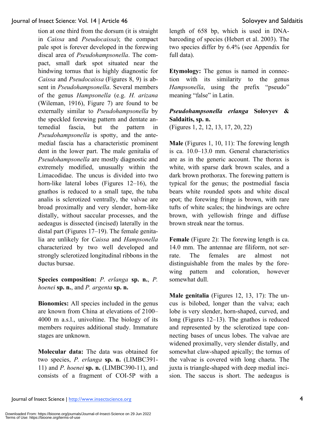tion at one third from the dorsum (it is straight in *Caissa* and *Pseudocaissa*); the compact pale spot is forever developed in the forewing discal area of *Pseudohampsonella*. The compact, small dark spot situated near the hindwing tornus that is highly diagnostic for *Caissa* and *Pseudocaissa* (Figures 8, 9) is absent in *Pseudohampsonella*. Several members of the genus *Hampsonella* (e.g. *H. arizana* (Wileman, 1916), Figure 7) are found to be externally similar to *Pseudohampsonella* by the speckled forewing pattern and dentate antemedial fascia, but the pattern in *Pseudohampsonella* is spotty, and the antemedial fascia has a characteristic prominent dent in the lower part. The male genitalia of *Pseudohampsonella* are mostly diagnostic and extremely modified, unusually within the Limacodidae. The uncus is divided into two horn-like lateral lobes (Figures 12–16), the gnathos is reduced to a small tape, the tuba analis is sclerotized ventrally, the valvae are broad proximally and very slender, horn-like distally, without saccular processes, and the aedeagus is dissected (incised) laterally in the distal part (Figures 17–19). The female genitalia are unlikely for *Caissa* and *Hampsonella* characterized by two well developed and strongly sclerotized longitudinal ribbons in the ductus bursae.

**Species composition:** *P. erlanga* **sp. n.**, *P. hoenei* **sp. n.**, and *P. argenta* **sp. n.**

**Bionomics:** All species included in the genus are known from China at elevations of 2100– 4000 m a.s.l., univoltine. The biology of its members requires additional study. Immature stages are unknown.

**Molecular data:** The data was obtained for two species, *P. erlanga* **sp. n.** (LIMBC391- 11) and *P. hoenei* **sp. n.** (LIMBC390-11), and consists of a fragment of COI-5P with a length of 658 bp, which is used in DNAbarcoding of species (Hebert et al. 2003). The two species differ by 6.4% (see Appendix for full data).

**Etymology:** The genus is named in connection with its similarity to the genus *Hampsonella*, using the prefix "pseudo" meaning "false" in Latin.

## *Pseudohampsonella erlanga* **Solovyev & Saldaitis, sp. n.**

(Figures 1, 2, 12, 13, 17, 20, 22)

**Male** (Figures 1, 10, 11): The forewing length is ca. 10.0–13.0 mm. General characteristics are as in the generic account. The thorax is white, with sparse dark brown scales, and a dark brown prothorax. The forewing pattern is typical for the genus; the postmedial fascia bears white rounded spots and white discal spot; the forewing fringe is brown, with rare tufts of white scales; the hindwings are ochre brown, with yellowish fringe and diffuse brown streak near the tornus.

**Female** (Figure 2): The forewing length is ca. 14.0 mm. The antennae are filiform, not serrate. The females are almost not distinguishable from the males by the forewing pattern and coloration, however somewhat dull.

**Male genitalia** (Figures 12, 13, 17): The uncus is bilobed, longer than the valva; each lobe is very slender, horn-shaped, curved, and long (Figures 12–13). The gnathos is reduced and represented by the sclerotized tape connecting bases of uncus lobes. The valvae are widened proximally, very slender distally, and somewhat claw-shaped apically; the tornus of the valvae is covered with long chaeta. The juxta is triangle-shaped with deep medial incision. The saccus is short. The aedeagus is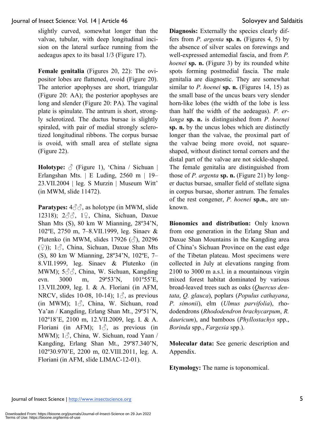slightly curved, somewhat longer than the valvae, tubular, with deep longitudinal incision on the lateral surface running from the aedeagus apex to its basal 1/3 (Figure 17).

**Female genitalia** (Figures 20, 22): The ovipositor lobes are flattened, ovoid (Figure 20). The anterior apophyses are short, triangular (Figure 20: AA); the posterior apophyses are long and slender (Figure 20: PA). The vaginal plate is spinulate. The antrum is short, strongly sclerotized. The ductus bursae is slightly spiraled, with pair of medial strongly sclerotized longitudinal ribbons. The corpus bursae is ovoid, with small area of stellate signa (Figure 22).

**Holotype:**  $\circled{}$  (Figure 1), 'China / Sichuan | Erlangshan Mts. | E Luding, 2560 m | 19– 23.VII.2004 | leg. S Murzin | Museum Witt' (in MWM, slide 11472).

**Paratypes:** 4♂♂, as holotype (in MWM, slide 12318); 2♂♂, 1♀, China, Sichuan, Daxue Shan Mts (S), 80 km W Mianning, 28º34'N, 102ºE, 2750 m, 7–8.VII.1999, leg. Sinaev & Plutenko (in MWM, slides 17926  $(\text{A})$ , 20296  $(\mathcal{Q})$ ); 1 $\Diamond$ , China, Sichuan, Daxue Shan Mts (S), 80 km W Mianning, 28º34'N, 102ºE, 7– 8.VII.1999, leg. Sinaev & Plutenko (in MWM);  $5\textcircled{3}\textcircled{3}$ , China, W. Sichuan, Kangding evn. 3000 m, 29º53'N, 101º55'E, 13.VII.2009, leg. I. & A. Floriani (in AFM, NRCV, slides 10-08, 10-14);  $1\delta$ , as previous (in MWM);  $1\delta$ , China, W. Sichuan, road Ya'an / Kangding, Erlang Shan Mt., 29°51'N, 102º18'E, 2100 m, 12.VII.2009, leg. I. & A. Floriani (in AFM);  $1\delta$ , as previous (in MWM);  $1\delta$ , China, W. Sichuan, road Yaan / Kangding, Erlang Shan Mt., 29º87.340'N, 102º30.970'E, 2200 m, 02.VIII.2011, leg. A. Floriani (in AFM, slide LIMAC-12-01).

**Diagnosis:** Externally the species clearly differs from *P. argenta* **sp. n.** (Figures 4, 5) by the absence of silver scales on forewings and well-expressed antemedial fascia, and from *P. hoenei* **sp. n.** (Figure 3) by its rounded white spots forming postmedial fascia. The male genitalia are diagnostic. They are somewhat similar to *P. hoenei* **sp. n.** (Figures 14, 15) as the small base of the uncus bears very slender horn-like lobes (the width of the lobe is less than half the width of the aedeagus). *P. erlanga* **sp. n.** is distinguished from *P. hoenei* **sp. n.** by the uncus lobes which are distinctly longer than the valvae, the proximal part of the valvae being more ovoid, not squareshaped, without distinct tornal corners and the distal part of the valvae are not sickle-shaped. The female genitalia are distinguished from those of *P. argenta* **sp. n.** (Figure 21) by longer ductus bursae, smaller field of stellate signa in corpus bursae, shorter antrum. The females of the rest congener, *P. hoenei* **sp.n.**, are unknown.

**Bionomics and distribution:** Only known from one generation in the Erlang Shan and Daxue Shan Mountains in the Kangding area of China's Sichuan Province on the east edge of the Tibetan plateau. Most specimens were collected in July at elevations ranging from 2100 to 3000 m a.s.l. in a mountainous virgin mixed forest habitat dominated by various broad-leaved trees such as oaks (*Quercus dentata*, *Q. glauca*), poplars (*Populus cathayana*, *P. simonii*), elm (*Ulmus parvifolia*), rhododendrons (*Rhododendron brachycarpum*, *R. dauricum*), and bamboos (*Phyllostachys* spp., *Borinda* spp., *Fargesia* spp.).

**Molecular data:** See generic description and Appendix.

**Etymology:** The name is toponomical.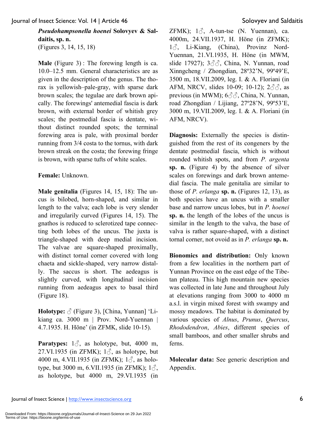## *Pseudohampsonella hoenei* **Solovyev & Saldaitis, sp. n.**

(Figures 3, 14, 15, 18)

**Male** (Figure 3) : The forewing length is ca. 10.0–12.5 mm. General characteristics are as given in the description of the genus. The thorax is yellowish–pale-gray, with sparse dark brown scales; the tegulae are dark brown apically. The forewings' antemedial fascia is dark brown, with external border of whitish grey scales; the postmedial fascia is dentate, without distinct rounded spots; the terminal forewing area is pale, with proximal border running from 3/4 costa to the tornus, with dark brown streak on the costa; the forewing fringe is brown, with sparse tufts of white scales.

## **Female:** Unknown.

**Male genitalia** (Figures 14, 15, 18): The uncus is bilobed, horn-shaped, and similar in length to the valva; each lobe is very slender and irregularily curved (Figures 14, 15). The gnathos is reduced to sclerotized tape connecting both lobes of the uncus. The juxta is triangle-shaped with deep medial incision. The valvae are square-shaped proximally, with distinct tornal corner covered with long chaeta and sickle-shaped, very narrow distally. The saccus is short. The aedeagus is slightly curved, with longitudinal incision running from aedeagus apex to basal third (Figure 18).

**Holotype:** ♂ (Figure 3), [China, Yunnan] 'Likiang ca. 3000 m | Prov. Nord-Yuennan | 4.7.1935. H. Höne' (in ZFMK, slide 10-15).

**Paratypes:**  $1\delta$ , as holotype, but, 4000 m, 27.VI.1935 (in ZFMK);  $1\delta$ , as holotype, but 4000 m, 4.VII.1935 (in ZFMK);  $1\delta$ , as holotype, but 3000 m, 6.VII.1935 (in ZFMK);  $1\delta$ , as holotype, but 4000 m, 29.VI.1935 (in

ZFMK);  $1\delta$ , A-tun-tse (N. Yuennan), ca. 4000m, 24.VII.1937, H. Höne (in ZFMK); 13, Li-Kiang, (China), Provinz Nord-Yuennan, 21.VI.1935, H. Höne (in MWM, slide 17927); 3♂**♂**, China, N. Yunnan, road Xinngcheng / Zhongdian, 28º32'N, 99º49'E, 3500 m, 18.VII.2009, leg. I. & A. Floriani (in AFM, NRCV, slides 10-09; 10-12); 2♂**♂**, as previous (in MWM); 6♂**♂**, China, N. Yunnan, road Zhongdian / Lijiang, 27º28'N, 99º53'E, 3000 m, 19.VII.2009, leg. I. & A. Floriani (in AFM, NRCV).

**Diagnosis:** Externally the species is distinguished from the rest of its congeners by the dentate postmedial fascia, which is without rounded whitish spots, and from *P. argenta*  **sp. n.** (Figure 4) by the absence of silver scales on forewings and dark brown antemedial fascia. The male genitalia are similar to those of *P. erlanga* **sp. n.** (Figures 12, 13), as both species have an uncus with a smaller base and narrow uncus lobes, but in *P. hoenei* **sp. n.** the length of the lobes of the uncus is similar in the length to the valva, the base of valva is rather square-shaped, with a distinct tornal corner, not ovoid as in *P. erlanga* **sp. n.**

**Bionomics and distribution:** Only known from a few localities in the northern part of Yunnan Province on the east edge of the Tibetan plateau. This high mountain new species was collected in late June and throughout July at elevations ranging from 3000 to 4000 m a.s.l. in virgin mixed forest with swampy and mossy meadows. The habitat is dominated by various species of *Alnus*, *Prunus*, *Quercus*, *Rhododendron*, *Abies*, different species of small bamboos, and other smaller shrubs and ferns.

**Molecular data:** See generic description and Appendix.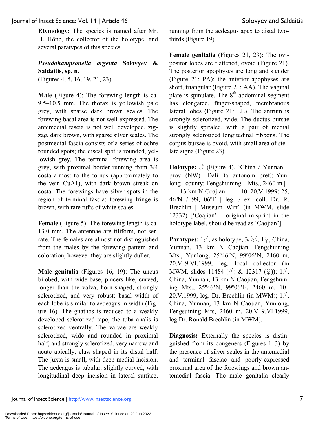**Etymology:** The species is named after Mr. H. Höne, the collector of the holotype, and several paratypes of this species.

## *Pseudohampsonella argenta* **Solovyev & Saldaitis, sp. n.**

(Figures 4, 5, 16, 19, 21, 23)

**Male** (Figure 4): The forewing length is ca. 9.5–10.5 mm. The thorax is yellowish pale grey, with sparse dark brown scales. The forewing basal area is not well expressed. The antemedial fascia is not well developed, zigzag, dark brown, with sparse silver scales. The postmedial fascia consists of a series of ochre rounded spots; the discal spot is rounded, yellowish grey. The terminal forewing area is grey, with proximal border running from 3/4 costa almost to the tornus (approximately to the vein CuA1), with dark brown streak on costa. The forewings have silver spots in the region of terminal fascia; forewing fringe is brown, with rare tufts of white scales.

**Female** (Figure 5): The forewing length is ca. 13.0 mm. The antennae are filiform, not serrate. The females are almost not distinguished from the males by the forewing pattern and coloration, however they are slightly duller.

**Male genitalia** (Figures 16, 19): The uncus bilobed, with wide base, pincers-like, curved, longer than the valva, horn-shaped, strongly sclerotized, and very robust; basal width of each lobe is similar to aedeagus in width (Figure 16). The gnathos is reduced to a weakly developed sclerotized tape; the tuba analis is sclerotized ventrally. The valvae are weakly sclerotized, wide and rounded in proximal half, and strongly sclerotized, very narrow and acute apically, claw-shaped in its distal half. The juxta is small, with deep medial incision. The aedeagus is tubular, slightly curved, with longitudinal deep incision in lateral surface, running from the aedeagus apex to distal twothirds (Figure 19).

**Female genitalia** (Figures 21, 23): The ovipositor lobes are flattened, ovoid (Figure 21). The posterior apophyses are long and slender (Figure 21: PA); the anterior apophyses are short, triangular (Figure 21: AA). The vaginal plate is spinulate. The  $8<sup>th</sup>$  abdominal segment has elongated, finger-shaped, membranous lateral lobes (Figure 21: LL). The antrum is strongly sclerotized, wide. The ductus bursae is slightly spiraled, with a pair of medial strongly sclerotized longitudinal ribbons. The corpus bursae is ovoid, with small area of stellate signa (Figure 23).

**Holotype:**  $\circled{}$  (Figure 4), 'China / Yunnan – prov. (NW) | Dali Bai autonom. pref.; Yunlong | county; Fengshuining – Mts., 2460 m | - -----13 km N Coajian ---- | 10–20.V.1999; 25, 46ºN / 99, 06ºE | leg. / ex. coll. Dr. R. Brechlin | Museum Witt' (in MWM, slide 12332) ['Coajian' – original misprint in the holotype label, should be read as 'Caojian'].

**Paratypes:** 1♂, as holotype; 3♂♂, 1♀, China, Yunnan, 13 km N Caojian, Fengshuining Mts., Yunlong, 25º46'N, 99º06'N, 2460 m, 20.V–9.VI.1999, leg. local collector (in MWM, slides 11484 ( $\Diamond$ ) & 12317 ( $\Diamond$ )); 1 $\Diamond$ , China, Yunnan, 13 km N Caojian, Fengshuining Mts., 25º46'N, 99º06'E, 2460 m, 10– 20.V.1999, leg. Dr. Brechlin (in MWM);  $1\delta$ , China, Yunnan, 13 km N Caojian, Yunlong, Fengsuining Mts, 2460 m, 20.V–9.VI.1999, leg Dr. Ronald Brechlin (in MWM).

**Diagnosis:** Externally the species is distinguished from its congeners (Figures 1–3) by the presence of silver scales in the antemedial and terminal fasciae and poorly-expressed proximal area of the forewings and brown antemedial fascia. The male genitalia clearly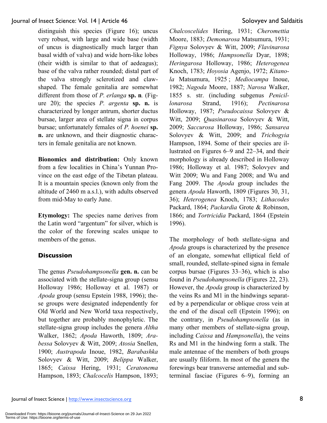distinguish this species (Figure 16); uncus very robust, with large and wide base (width of uncus is diagnostically much larger than basal width of valva) and wide horn-like lobes (their width is similar to that of aedeagus); base of the valva rather rounded; distal part of the valva strongly sclerotized and clawshaped. The female genitalia are somewhat different from those of *P. erlanga* **sp. n***.* (Figure 20); the species *P. argenta* **sp. n.** is characterized by longer antrum, shorter ductus bursae, larger area of stellate signa in corpus bursae; unfortunately females of *P. hoenei* **sp. n.** are unknown, and their diagnostic characters in female genitalia are not known.

**Bionomics and distribution:** Only known from a few localities in China's Yunnan Province on the east edge of the Tibetan plateau. It is a mountain species (known only from the altitude of 2460 m a.s.l.), with adults observed from mid-May to early June.

**Etymology:** The species name derives from the Latin word "argentum" for silver, which is the color of the forewing scales unique to members of the genus.

## **Discussion**

The genus *Pseudohampsonella* **gen. n.** can be associated with the stellate-signa group (sensu Holloway 1986; Holloway et al. 1987) or *Apoda* group (sensu Epstein 1988, 1996); these groups were designated independently for Old World and New World taxa respectively, but together are probably monophyletic. The stellate-signa group includes the genera *Altha* Walker, 1862; *Apoda* Haworth, 1809; *Arabessa* Solovyev & Witt, 2009; *Atosia* Snellen, 1900; *Austrapoda* Inoue, 1982, *Barabashka* Solovyev & Witt, 2009; *Belippa* Walker, 1865; *Caissa* Hering, 1931; *Ceratonema* Hampson, 1893; *Chalcocelis* Hampson, 1893;

*Chalcoscelides* Hering, 1931; *Cheromettia* Moore, 1883; *Demonarosa* Matsumura, 1931; *Fignya* Solovyev & Witt, 2009; *Flavinarosa* Holloway, 1986; *Hampsonella* Dyar, 1898; *Heringarosa* Holloway, 1986; *Heterogenea* Knoch, 1783; *Hoyosia* Agenjo, 1972; *Kitanola* Matsumura, 1925 ; *Mediocampa* Inoue, 1982; *Nagoda* Moore, 1887; *Narosa* Walker, 1855 s. str. (including subgenus *Penicillonarosa* Strand, 1916); *Pectinarosa* Holloway, 1987; *Pseudocaissa* Solovyev & Witt, 2009; *Quasinarosa* Solovyev & Witt, 2009; *Saccurosa* Holloway, 1986; *Sansarea* Solovyev & Witt, 2009; and *Trichogyia* Hampson, 1894. Some of their species are illustrated on Figures 6–9 and 22–34, and their morphology is already described in Holloway 1986; Holloway et al. 1987; Solovyev and Witt 2009; Wu and Fang 2008; and Wu and Fang 2009. The *Apoda* group includes the genera *Apoda* Haworth, 1809 (Figures 30, 31, 36); *Heterogenea* Knoch, 1783; *Lithacodes* Packard, 1864; *Packardia* Grote & Robinson, 1866; and *Tortricidia* Packard, 1864 (Epstein 1996).

The morphology of both stellate-signa and *Apoda* groups is characterized by the presence of an elongate, somewhat elliptical field of small, rounded, stellate-spined signa in female corpus bursae (Figures 33–36), which is also found in *Pseudohampsonella* (Figures 22, 23). However, the *Apoda* group is characterized by the veins Rs and M1 in the hindwings separated by a perpendicular or oblique cross vein at the end of the discal cell (Epstein 1996); on the contrary, in *Pseudohampsonella* (as in many other members of stellate-signa group, including *Caissa* and *Hampsonella*), the veins Rs and M1 in the hindwing form a stalk. The male antennae of the members of both groups are usually filiform. In most of the genera the forewings bear transverse antemedial and subterminal fasciae (Figures 6–9), forming an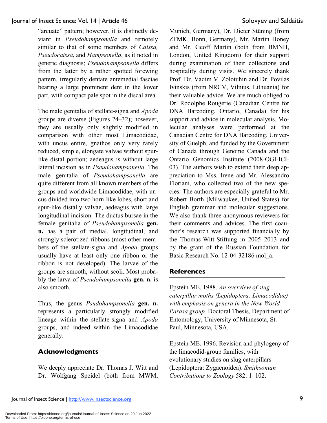"arcuate" pattern; however, it is distinctly deviant in *Pseudohampsonella* and remotely similar to that of some members of *Caissa, Pseudocaissa*, and *Hampsonella*, as it noted in generic diagnosis; *Pseudohampsonella* differs from the latter by a rather spotted forewing pattern, irregularly dentate antemedial fasciae bearing a large prominent dent in the lower part, with compact pale spot in the discal area.

The male genitalia of stellate-signa and *Apoda* groups are diverse (Figures 24–32); however, they are usually only slightly modified in comparison with other most Limacodidae, with uncus entire, gnathos only very rarely reduced, simple, elongate valvae without spurlike distal portion; aedeagus is without large lateral incision as in *Pseudohampsonella*. The male genitalia of *Pseudohampsonella* are quite different from all known members of the groups and worldwide Limacodidae, with uncus divided into two horn-like lobes, short and spur-like distally valvae, aedeagus with large longitudinal incision. The ductus bursae in the female genitalia of *Pseudohampsonella* **gen. n.** has a pair of medial, longitudinal, and strongly sclerotized ribbons (most other members of the stellate-signa and *Apoda* groups usually have at least only one ribbon or the ribbon is not developed). The larvae of the groups are smooth, without scoli. Most probably the larva of *Pseudohampsonella* **gen. n.** is also smooth.

Thus, the genus *Psudohampsonella* **gen. n.** represents a particularly strongly modified lineage within the stellate-signa and *Apoda* groups, and indeed within the Limacodidae generally.

## **Acknowledgments**

We deeply appreciate Dr. Thomas J. Witt and Dr. Wolfgang Speidel (both from MWM,

Munich, Germany), Dr. Dieter Stüning (from ZFMK, Bonn, Germany), Mr. Martin Honey and Mr. Geoff Martin (both from BMNH, London, United Kingdom) for their support during examination of their collections and hospitality during visits. We sincerely thank Prof. Dr. Vadim V. Zolotuhin and Dr. Povilas Ivinskis (from NRCV, Vilnius, Lithuania) for their valuable advice. We are much obliged to Dr. Rodolphe Rougerie (Canadian Centre for DNA Barcoding, Ontario, Canada) for his support and advice in molecular analysis. Molecular analyses were performed at the Canadian Centre for DNA Barcoding, University of Guelph, and funded by the Government of Canada through Genome Canada and the Ontario Genomics Institute (2008-OGI-ICI-03). The authors wish to extend their deep appreciation to Mss. Irene and Mr. Alessandro Floriani, who collected two of the new species. The authors are especially grateful to Mr. Robert Borth (Milwaukee, United States) for English grammar and molecular suggestions. We also thank three anonymous reviewers for their comments and advices. The first coauthor's research was supported financially by the Thomas-Witt-Stiftung in 2005–2013 and by the grant of the Russian Foundation for Basic Research No. 12-04-32186 mol\_a.

## **References**

Epstein ME. 1988. *An overview of slug caterpillar moths (Lepidoptera: Limacodidae) with emphasis on genera in the New World Parasa group.* Doctoral Thesis, Department of Entomology, University of Minnesota, St. Paul, Minnesota, USA.

Epstein ME. 1996. Revision and phylogeny of the limacodid-group families, with evolutionary studies on slug caterpillars (Lepidoptera: Zygaenoidea). *Smithsonian Contributions to Zoology* 582: 1–102.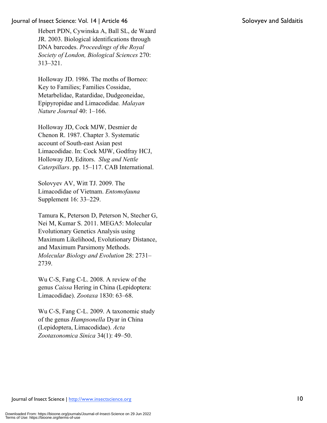Hebert PDN, Cywinska A, Ball SL, de Waard JR. 2003. Biological identifications through DNA barcodes. *Proceedings of the Royal Society of London, Biological Sciences* 270: 313–321.

Holloway JD. 1986. The moths of Borneo: Key to Families; Families Cossidae, Metarbelidae, Ratardidae, Dudgeoneidae, Epipyropidae and Limacodidae*. Malayan Nature Journal* 40: 1–166.

Holloway JD, Cock MJW, Desmier de Chenon R. 1987. Chapter 3. Systematic account of South-east Asian pest Limacodidae. In: Cock MJW, Godfray HCJ, Holloway JD, Editors. *Slug and Nettle Caterpillars*. pp. 15–117. CAB International.

Solovyev AV, Witt TJ. 2009. The Limacodidae of Vietnam. *Entomofauna* Supplement 16: 33–229.

Tamura K, Peterson D, Peterson N, Stecher G, Nei M, Kumar S. 2011. MEGA5: Molecular Evolutionary Genetics Analysis using Maximum Likelihood, Evolutionary Distance, and Maximum Parsimony Methods. *Molecular Biology and Evolution* 28: 2731– 2739.

Wu C-S, Fang C-L. 2008. A review of the genus *Caissa* Hering in China (Lepidoptera: Limacodidae). *Zootaxa* 1830: 63–68.

Wu C-S, Fang C-L. 2009. A taxonomic study of the genus *Hampsonella* Dyar in China (Lepidoptera, Limacodidae). *Acta Zootaxonomica Sinica* 34(1): 49–50.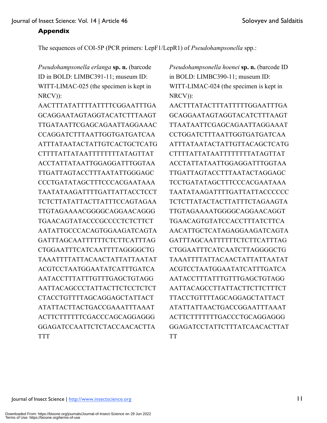## **Appendix**

The sequences of COI-5P (PCR primers: LepF1/LepR1) of *Pseudohampsonella* spp.:

*Pseudohampsonella erlanga* **sp. n.** (barcode ID in BOLD: LIMBC391-11; museum ID: WITT-LIMAC-025 (the specimen is kept in NRCV)):

AACTTTATATTTTATTTTCGGAATTTGA GCAGGAATAGTAGGTACATCTTTAAGT TTGATAATTCGAGCAGAATTAGGAAAC CCAGGATCTTTAATTGGTGATGATCAA ATTTATAATACTATTGTCACTGCTCATG CTTTTATTATAATTTTTTTTATAGTTAT ACCTATTATAATTGGAGGATTTGGTAA TTGATTAGTACCTTTAATATTGGGAGC CCCTGATATAGCTTTCCCACGAATAAA TAATATAAGATTTTGATTATTACCTCCT TCTCTTATATTACTTATTTCCAGTAGAA TTGTAGAAAACGGGGCAGGAACAGGG TGAACAGTATACCCGCCCCTCTCTTCT AATATTGCCCACAGTGGAAGATCAGTA GATTTAGCAATTTTTTCTCTTCATTTAG CTGGAATTTCATCAATTTTAGGGGCTG TAAATTTTATTACAACTATTATTAATAT ACGTCCTAATGGAATATCATTTGATCA AATACCTTTATTTGTTTGAGCTGTAGG AATTACAGCCCTATTACTTCTCCTCTCT CTACCTGTTTTAGCAGGAGCTATTACT ATATTACTTACTGACCGAAATTTAAAT ACTTCTTTTTTCGACCCAGCAGGAGGG GGAGATCCAATTCTCTACCAACACTTA TTT

*Pseudohampsonella hoenei* **sp. n.** (barcode ID in BOLD: LIMBC390-11; museum ID: WITT-LIMAC-024 (the specimen is kept in NRCV)):

AACTTTATACTTTATTTTTGGAATTTGA GCAGGAATAGTAGGTACATCTTTAAGT TTAATAATTCGAGCAGAATTAGGAAAT CCTGGATCTTTAATTGGTGATGATCAA ATTTATAATACTATTGTTACAGCTCATG CTTTTATTATAATTTTTTTTATAGTTAT ACCTATTATAATTGGAGGATTTGGTAA TTGATTAGTACCTTTAATACTAGGAGC TCCTGATATAGCTTTCCCACGAATAAA TAATATAAGATTTTGATTATTACCCCCC TCTCTTATACTACTTATTTCTAGAAGTA TTGTAGAAAATGGGGCAGGAACAGGT TGAACAGTGTATCCACCTTTATCTTCA AACATTGCTCATAGAGGAAGATCAGTA GATTTAGCAATTTTTTCTCTTCATTTAG CTGGAATTTCATCAATCTTAGGGGCTG TAAATTTTATTACAACTATTATTAATAT ACGTCCTAATGGAATATCATTTGATCA AATACCTTTATTTGTTTGAGCTGTAGG AATTACAGCCTTATTACTTCTTCTTTCT TTACCTGTTTTAGCAGGAGCTATTACT ATATTATTAACTGACCGGAATTTAAAT ACTTCTTTTTTTGACCCTGCAGGAGGG GGAGATCCTATTCTTTATCAACACTTAT TT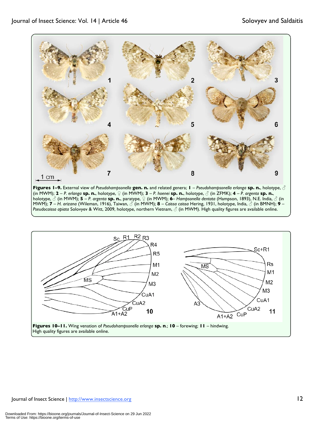

**Figures 1–9.** External view of *Pseudohampsonella* **gen. n.** and related genera; **1** – *Pseudohampsonella erlanga* **sp. n.**, holotype, ♂ (in MWM); **2** – *P. erlanga* **sp. n.**, holotype, ♀ (in MWM); **3** – *P. hoenei* **sp. n.**, holotype, ♂ (in ZFMK); **4** – *P. argenta* **sp. n.**, holotype, ♂ (in MWM); **5** – *P. argenta* **sp. n.**, paratype, ♀ (in MWM); **6**– *Hampsonella dentata* (Hampson, 1893), N.E. India, ♂ (in MWM); **7** – *H. arizana* (Wileman, 1916), Taiwan, ♂ (in MWM); **8** – *Caissa caissa* Hering, 1931, holotype, India, ♂ (in BMNH); **9** – *Pseudocaissa apiata* Solovyev & Witt, 2009, holotype, northern Vietnam, ♂ (in MWM). High quality figures are available online.

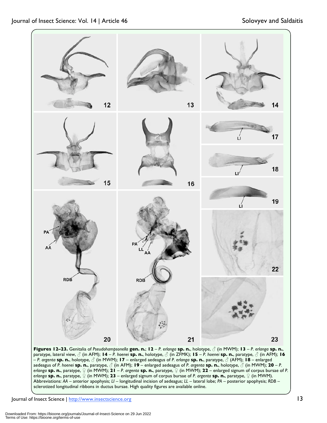

**Figures 12–23.** Genitalia of *Pseudohampsonella* **gen. n.**; **12** – *P. erlanga* **sp. n.**, holotype, ♂ (in MWM); **13** – *P. erlanga* **sp. n.**, paratype, lateral view, ♂ (in AFM); **14** – *P. hoenei* **sp. n.**, holotype, ♂ (in ZFMK); **15** – *P. hoenei* **sp. n.**, paratype, ♂ (in AFM); **16**  – *P. argenta* **sp. n.**, holotype, ♂ (in MWM); **17** – enlarged aedeagus of *P. erlanga* **sp. n.**, paratype, ♂ (AFM); **18** – enlarged aedeagus of *P. hoenei* **sp. n.**, paratype, ♂ (in AFM); **19** – enlarged aedeagus of *P. argenta* **sp. n.**, holotype, ♂ (in MWM); **20** – *P. erlanga* **sp. n.**, paratype, ♀ (in MWM); **21** – *P. argenta* **sp. n.**, paratype, ♀ (in MWM); **22** – enlarged signum of corpus bursae of *P. erlanga* **sp. n.**, paratype, ♀ (in MWM); **23** – enlarged signum of corpus bursae of *P. argenta* **sp. n.**, paratype, ♀ (in MWM). Abbreviations: *AA* – anterior apophysis; *LI* – longitudinal incision of aedeagus; *LL* – lateral lobe; *PA* – posterior apophysis; *RDB* – sclerotized longitudinal ribbons in ductus bursae. High quality figures are available online.